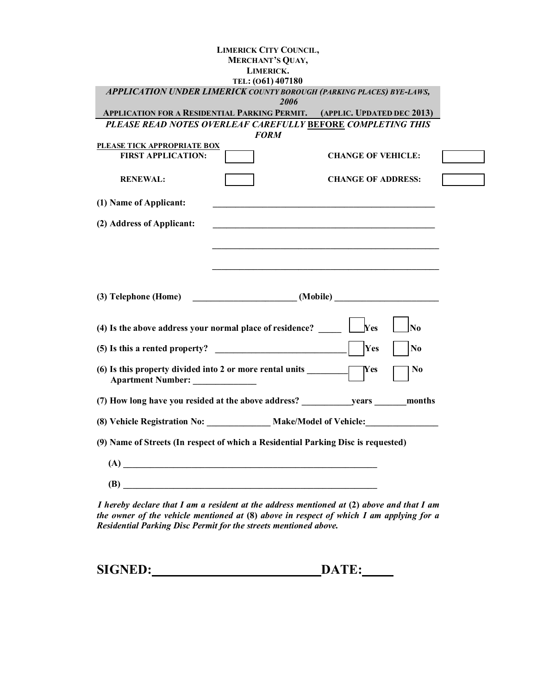| <b>MERCHANT'S QUAY,</b>                                                                     | <b>LIMERICK CITY COUNCIL,</b> |
|---------------------------------------------------------------------------------------------|-------------------------------|
| LIMERICK.                                                                                   |                               |
| TEL: (061) 407180                                                                           |                               |
| APPLICATION UNDER LIMERICK COUNTY BOROUGH (PARKING PLACES) BYE-LAWS,<br>2006                |                               |
| <b>APPLICATION FOR A RESIDENTIAL PARKING PERMIT. (APPLIC. UPDATED DEC 2013)</b>             |                               |
| PLEASE READ NOTES OVERLEAF CAREFULLY BEFORE COMPLETING THIS<br><b>FORM</b>                  |                               |
| PLEASE TICK APPROPRIATE BOX<br><b>FIRST APPLICATION:</b>                                    | <b>CHANGE OF VEHICLE:</b>     |
| <b>RENEWAL:</b>                                                                             | <b>CHANGE OF ADDRESS:</b>     |
| (1) Name of Applicant:                                                                      |                               |
| (2) Address of Applicant:                                                                   |                               |
|                                                                                             |                               |
|                                                                                             |                               |
|                                                                                             |                               |
|                                                                                             |                               |
|                                                                                             |                               |
| (4) Is the above address your normal place of residence?                                    | Yes<br>N <sub>o</sub>         |
| (5) Is this a rented property?                                                              | Yes<br>No                     |
| (6) Is this property divided into 2 or more rental units<br>Apartment Number: _____________ | Yes<br>No                     |
| (7) How long have you resided at the above address? years months                            |                               |
| (8) Vehicle Registration No: Make/Model of Vehicle:                                         |                               |
| (9) Name of Streets (In respect of which a Residential Parking Disc is requested)           |                               |
|                                                                                             |                               |

*I hereby declare that I am a resident at the address mentioned at (2) above and that I am the owner of the vehicle mentioned at* **(8)** *above in respect of which I am applying for a Residential Parking Disc Permit for the streets mentioned above.* 

| <b>SIGNED:</b> | DATE: |
|----------------|-------|
|----------------|-------|